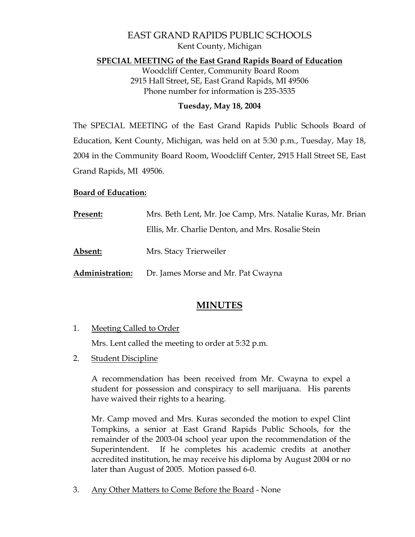# EAST GRAND RAPIDS PUBLIC SCHOOLS Kent County, Michigan

#### **SPECIAL MEETING of the East Grand Rapids Board of Education**

 Woodcliff Center, Community Board Room 2915 Hall Street, SE, East Grand Rapids, MI 49506 Phone number for information is 235-3535

#### **Tuesday, May 18, 2004**

The SPECIAL MEETING of the East Grand Rapids Public Schools Board of Education, Kent County, Michigan, was held on at 5:30 p.m., Tuesday, May 18, 2004 in the Community Board Room, Woodcliff Center, 2915 Hall Street SE, East Grand Rapids, MI 49506.

#### **Board of Education:**

| Present:        | Mrs. Beth Lent, Mr. Joe Camp, Mrs. Natalie Kuras, Mr. Brian |
|-----------------|-------------------------------------------------------------|
|                 | Ellis, Mr. Charlie Denton, and Mrs. Rosalie Stein           |
| Absent:         | Mrs. Stacy Trierweiler                                      |
| Administration: | Dr. James Morse and Mr. Pat Cwayna                          |

# **MINUTES**

1. Meeting Called to Order

Mrs. Lent called the meeting to order at 5:32 p.m.

2. Student Discipline

 A recommendation has been received from Mr. Cwayna to expel a student for possession and conspiracy to sell marijuana. His parents have waived their rights to a hearing.

 Mr. Camp moved and Mrs. Kuras seconded the motion to expel Clint Tompkins, a senior at East Grand Rapids Public Schools, for the remainder of the 2003-04 school year upon the recommendation of the Superintendent. If he completes his academic credits at another accredited institution, he may receive his diploma by August 2004 or no later than August of 2005. Motion passed 6-0.

3. Any Other Matters to Come Before the Board - None